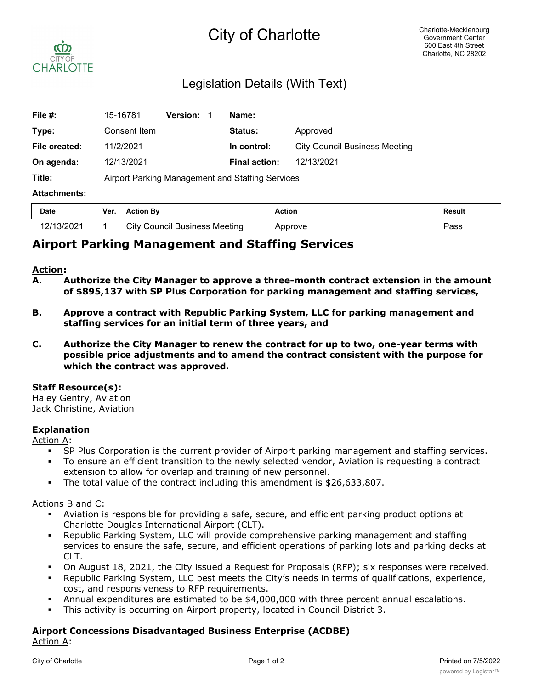# City of Charlotte



### Legislation Details (With Text)

| File $#$ :          | <b>Version:</b><br>15-16781                      | Name:                |                                      |               |
|---------------------|--------------------------------------------------|----------------------|--------------------------------------|---------------|
| Type:               | Consent Item                                     | <b>Status:</b>       | Approved                             |               |
| File created:       | 11/2/2021                                        | In control:          | <b>City Council Business Meeting</b> |               |
| On agenda:          | 12/13/2021                                       | <b>Final action:</b> | 12/13/2021                           |               |
| Title:              | Airport Parking Management and Staffing Services |                      |                                      |               |
| <b>Attachments:</b> |                                                  |                      |                                      |               |
| <b>Date</b>         | Ver.<br><b>Action By</b>                         | <b>Action</b>        |                                      | <b>Result</b> |

## 12/13/2021 1 City Council Business Meeting Approve Pass **Airport Parking Management and Staffing Services**

#### **Action:**

- **A. Authorize the City Manager to approve a three-month contract extension in the amount of \$895,137 with SP Plus Corporation for parking management and staffing services,**
- **B. Approve a contract with Republic Parking System, LLC for parking management and staffing services for an initial term of three years, and**
- **C. Authorize the City Manager to renew the contract for up to two, one-year terms with possible price adjustments and to amend the contract consistent with the purpose for which the contract was approved.**

#### **Staff Resource(s):**

Haley Gentry, Aviation Jack Christine, Aviation

#### **Explanation**

Action A:

- § SP Plus Corporation is the current provider of Airport parking management and staffing services.
- § To ensure an efficient transition to the newly selected vendor, Aviation is requesting a contract extension to allow for overlap and training of new personnel.
- § The total value of the contract including this amendment is \$26,633,807.

#### Actions B and C:

- § Aviation is responsible for providing a safe, secure, and efficient parking product options at Charlotte Douglas International Airport (CLT).
- Republic Parking System, LLC will provide comprehensive parking management and staffing services to ensure the safe, secure, and efficient operations of parking lots and parking decks at CLT.
- On August 18, 2021, the City issued a Request for Proposals (RFP); six responses were received.
- § Republic Parking System, LLC best meets the City's needs in terms of qualifications, experience, cost, and responsiveness to RFP requirements.
- § Annual expenditures are estimated to be \$4,000,000 with three percent annual escalations.
- This activity is occurring on Airport property, located in Council District 3.

### **Airport Concessions Disadvantaged Business Enterprise (ACDBE)**

Action A: